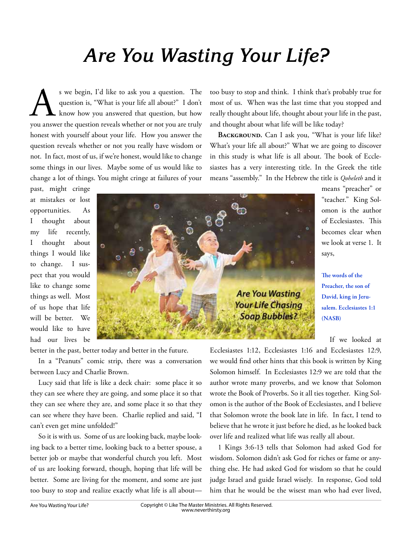## *Are You Wasting Your Life?*

S we begin, I'd like to ask you a question. The question is, "What is your life all about?" I don't know how you answered that question, but how you answer the question reveals whether or not you are truly question is, "What is your life all about?" I don't know how you answered that question, but how honest with yourself about your life. How you answer the question reveals whether or not you really have wisdom or not. In fact, most of us, if we're honest, would like to change some things in our lives. Maybe some of us would like to change a lot of things. You might cringe at failures of your

too busy to stop and think. I think that's probably true for most of us. When was the last time that you stopped and really thought about life, thought about your life in the past, and thought about what life will be like today?

BACKGROUND. Can I ask you, "What is your life like? What's your life all about?" What we are going to discover in this study is what life is all about. The book of Ecclesiastes has a very interesting title. In the Greek the title means "assembly." In the Hebrew the title is *Qoheleth* and it

> "teacher." King Solomon is the author

The words of the **Preacher, the son of David, king in Jerusalem. Ecclesiastes 1:1** 

If we looked at

**(NASB)**

past, might cringe at mistakes or lost opportunities. As I thought about my life recently, I thought about things I would like to change. I suspect that you would like to change some things as well. Most of us hope that life will be better. We would like to have had our lives be



better in the past, better today and better in the future.

In a "Peanuts" comic strip, there was a conversation between Lucy and Charlie Brown.

Lucy said that life is like a deck chair: some place it so they can see where they are going, and some place it so that they can see where they are, and some place it so that they can see where they have been. Charlie replied and said, "I can't even get mine unfolded!"

So it is with us. Some of us are looking back, maybe looking back to a better time, looking back to a better spouse, a better job or maybe that wonderful church you left. Most of us are looking forward, though, hoping that life will be better. Some are living for the moment, and some are just too busy to stop and realize exactly what life is all about—

Ecclesiastes 1:12, Ecclesiastes 1:16 and Ecclesiastes 12:9, we would find other hints that this book is written by King Solomon himself. In Ecclesiastes 12:9 we are told that the author wrote many proverbs, and we know that Solomon wrote the Book of Proverbs. So it all ties together. King Solomon is the author of the Book of Ecclesiastes, and I believe that Solomon wrote the book late in life. In fact, I tend to believe that he wrote it just before he died, as he looked back over life and realized what life was really all about.

1 Kings 3:6-13 tells that Solomon had asked God for wisdom. Solomon didn't ask God for riches or fame or anything else. He had asked God for wisdom so that he could judge Israel and guide Israel wisely. In response, God told him that he would be the wisest man who had ever lived,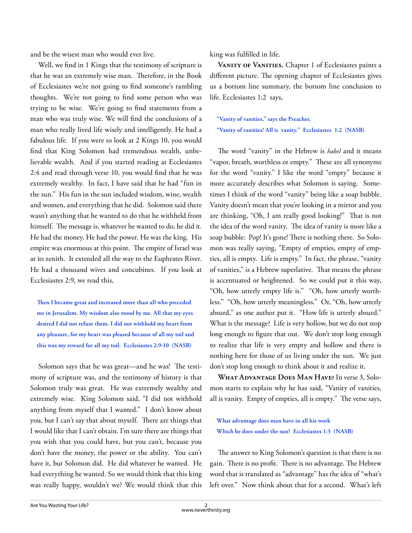and be the wisest man who would ever live.

Well, we find in 1 Kings that the testimony of scripture is that he was an extremely wise man. Therefore, in the Book of Ecclesiastes we're not going to find someone's rambling thoughts. We're not going to find some person who was trying to be wise. We're going to find statements from a man who was truly wise. We will find the conclusions of a man who really lived life wisely and intelligently. He had a fabulous life. If you were to look at 2 Kings 10, you would find that King Solomon had tremendous wealth, unbelievable wealth. And if you started reading at Ecclesiastes 2:4 and read through verse 10, you would find that he was extremely wealthy. In fact, I have said that he had "fun in the sun." His fun in the sun included wisdom, wine, wealth and women, and everything that he did. Solomon said there wasn't anything that he wanted to do that he withheld from himself. The message is, whatever he wanted to do, he did it. He had the money. He had the power. He was the king. His empire was enormous at this point. The empire of Israel was at its zenith. It extended all the way to the Euphrates River. He had a thousand wives and concubines. If you look at Ecclesiastes 2:9, we read this,

Then I became great and increased more than all who preceded **me in Jerusalem. My wisdom also stood by me. All that my eyes desired I did not refuse them. I did not withhold my heart from any pleasure, for my heart was pleased because of all my toil and this was my reward for all my toil. Ecclesiastes 2:9-10 (NASB)**

Solomon says that he was great—and he was! The testimony of scripture was, and the testimony of history is that Solomon truly was great. He was extremely wealthy and extremely wise. King Solomon said, "I did not withhold anything from myself that I wanted." I don't know about you, but I can't say that about myself. There are things that I would like that I can't obtain. I'm sure there are things that you wish that you could have, but you can't, because you don't have the money, the power or the ability. You can't have it, but Solomon did. He did whatever he wanted. He had everything he wanted. So we would think that this king was really happy, wouldn't we? We would think that this king was fulfilled in life.

VANITY OF VANITIES. Chapter 1 of Ecclesiastes paints a different picture. The opening chapter of Ecclesiastes gives us a bottom line summary, the bottom line conclusion to life. Ecclesiastes 1:2 says,

**"Vanity of vanities," says the Preacher, "Vanity of vanities! All is vanity." Ecclesiastes 1:2 (NASB)**

The word "vanity" in the Hebrew is *habel* and it means "vapor, breath, worthless or empty." These are all synonyms for the word "vanity." I like the word "empty" because it more accurately describes what Solomon is saying. Sometimes I think of the word "vanity" being like a soap bubble. Vanity doesn't mean that you're looking in a mirror and you are thinking, "Oh, I am really good looking!" That is not the idea of the word vanity. The idea of vanity is more like a soap bubble: Pop! It's gone! There is nothing there. So Solomon was really saying, "Empty of empties, empty of empties, all is empty. Life is empty." In fact, the phrase, "vanity of vanities," is a Hebrew superlative. That means the phrase is accentuated or heightened. So we could put it this way, "Oh, how utterly empty life is." "Oh, how utterly worthless." "Oh, how utterly meaningless." Or, "Oh, how utterly absurd," as one author put it. "How life is utterly absurd." What is the message? Life is very hollow, but we do not stop long enough to figure that out. We don't stop long enough to realize that life is very empty and hollow and there is nothing here for those of us living under the sun. We just don't stop long enough to think about it and realize it.

**What Advantage Does Man Have?** In verse 3, Solomon starts to explain why he has said, "Vanity of vanities, all is vanity. Empty of empties, all is empty." The verse says,

**What advantage does man have in all his work Which he does under the sun? Ecclesiastes 1:3 (NASB)**

The answer to King Solomon's question is that there is no gain. There is no profit. There is no advantage. The Hebrew word that is translated as "advantage" has the idea of "what's left over." Now think about that for a second. What's left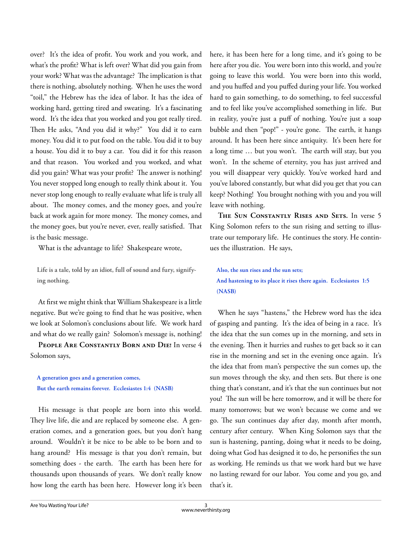over? It's the idea of profit. You work and you work, and what's the profit? What is left over? What did you gain from your work? What was the advantage? The implication is that there is nothing, absolutely nothing. When he uses the word "toil," the Hebrew has the idea of labor. It has the idea of working hard, getting tired and sweating. It's a fascinating word. It's the idea that you worked and you got really tired. Then He asks, "And you did it why?" You did it to earn money. You did it to put food on the table. You did it to buy a house. You did it to buy a car. You did it for this reason and that reason. You worked and you worked, and what did you gain? What was your profit? The answer is nothing! You never stopped long enough to really think about it. You never stop long enough to really evaluate what life is truly all about. The money comes, and the money goes, and you're back at work again for more money. The money comes, and the money goes, but you're never, ever, really satisfied. That is the basic message.

What is the advantage to life? Shakespeare wrote,

**Life is a tale, told by an idiot, full of sound and fury, signifying nothing.**

At first we might think that William Shakespeare is a little negative. But we're going to find that he was positive, when we look at Solomon's conclusions about life. We work hard and what do we really gain? Solomon's message is, nothing!

**People Are Constantly Born and Die!** In verse 4 Solomon says,

**A generation goes and a generation comes, But the earth remains forever. Ecclesiastes 1:4 (NASB)**

His message is that people are born into this world. They live life, die and are replaced by someone else. A generation comes, and a generation goes, but you don't hang around. Wouldn't it be nice to be able to be born and to hang around? His message is that you don't remain, but something does - the earth. The earth has been here for thousands upon thousands of years. We don't really know how long the earth has been here. However long it's been

here, it has been here for a long time, and it's going to be here after you die. You were born into this world, and you're going to leave this world. You were born into this world, and you huffed and you puffed during your life. You worked hard to gain something, to do something, to feel successful and to feel like you've accomplished something in life. But in reality, you're just a puff of nothing. You're just a soap bubble and then "pop!" - you're gone. The earth, it hangs around. It has been here since antiquity. It's been here for a long time ... but you won't. The earth will stay, but you won't. In the scheme of eternity, you has just arrived and you will disappear very quickly. You've worked hard and you've labored constantly, but what did you get that you can keep? Nothing! You brought nothing with you and you will leave with nothing.

**The Sun Constantly Rises and Sets.** In verse 5 King Solomon refers to the sun rising and setting to illustrate our temporary life. He continues the story. He continues the illustration. He says,

**Also, the sun rises and the sun sets; And hastening to its place it rises there again. Ecclesiastes 1:5 (NASB)**

When he says "hastens," the Hebrew word has the idea of gasping and panting. It's the idea of being in a race. It's the idea that the sun comes up in the morning, and sets in the evening. Then it hurries and rushes to get back so it can rise in the morning and set in the evening once again. It's the idea that from man's perspective the sun comes up, the sun moves through the sky, and then sets. But there is one thing that's constant, and it's that the sun continues but not you! The sun will be here tomorrow, and it will be there for many tomorrows; but we won't because we come and we go. The sun continues day after day, month after month, century after century. When King Solomon says that the sun is hastening, panting, doing what it needs to be doing, doing what God has designed it to do, he personifies the sun as working. He reminds us that we work hard but we have no lasting reward for our labor. You come and you go, and that's it.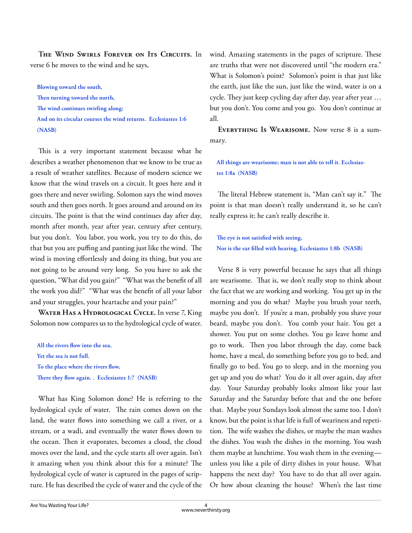**The Wind Swirls Forever on Its Circuits.** In verse 6 he moves to the wind and he says,

**Blowing toward the south,**  Then turning toward the north, The wind continues swirling along; **And on its circular courses the wind returns. Ecclesiastes 1:6 (NASB)**

This is a very important statement because what he describes a weather phenomenon that we know to be true as a result of weather satellites. Because of modern science we know that the wind travels on a circuit. It goes here and it goes there and never swirling. Solomon says the wind moves south and then goes north. It goes around and around on its circuits. The point is that the wind continues day after day, month after month, year after year, century after century, but you don't. You labor, you work, you try to do this, do that but you are puffing and panting just like the wind. The wind is moving effortlessly and doing its thing, but you are not going to be around very long. So you have to ask the question, "What did you gain?" "What was the benefit of all the work you did?" "What was the benefit of all your labor and your struggles, your heartache and your pain?"

**Water Has a Hydrological Cycle.** In verse 7, King Solomon now compares us to the hydrological cycle of water.

All the rivers flow into the sea, **Yet the sea is not full.**  To the place where the rivers flow, There they flow again. . Ecclesiastes 1:7 (NASB)

What has King Solomon done? He is referring to the hydrological cycle of water. The rain comes down on the land, the water flows into something we call a river, or a stream, or a wadi, and eventually the water flows down to the ocean. Then it evaporates, becomes a cloud, the cloud moves over the land, and the cycle starts all over again. Isn't it amazing when you think about this for a minute? The hydrological cycle of water is captured in the pages of scripture. He has described the cycle of water and the cycle of the wind. Amazing statements in the pages of scripture. These are truths that were not discovered until "the modern era." What is Solomon's point? Solomon's point is that just like the earth, just like the sun, just like the wind, water is on a cycle. They just keep cycling day after day, year after year ... but you don't. You come and you go. You don't continue at all.

**Everything Is Wearisome.** Now verse 8 is a summary.

**All things are wearisome; man is not able to tell it. Ecclesiastes 1:8a (NASB)**

The literal Hebrew statement is, "Man can't say it." The point is that man doesn't really understand it, so he can't really express it; he can't really describe it.

The eye is not satisfied with seeing, Nor is the ear filled with hearing. Ecclesiastes 1:8b (NASB)

Verse 8 is very powerful because he says that all things are wearisome. That is, we don't really stop to think about the fact that we are working and working. You get up in the morning and you do what? Maybe you brush your teeth, maybe you don't. If you're a man, probably you shave your beard, maybe you don't. You comb your hair. You get a shower. You put on some clothes. You go leave home and go to work. Then you labor through the day, come back home, have a meal, do something before you go to bed, and finally go to bed. You go to sleep, and in the morning you get up and you do what? You do it all over again, day after day. Your Saturday probably looks almost like your last Saturday and the Saturday before that and the one before that. Maybe your Sundays look almost the same too. I don't know, but the point is that life is full of weariness and repetition. The wife washes the dishes, or maybe the man washes the dishes. You wash the dishes in the morning. You wash them maybe at lunchtime. You wash them in the evening unless you like a pile of dirty dishes in your house. What happens the next day? You have to do that all over again. Or how about cleaning the house? When's the last time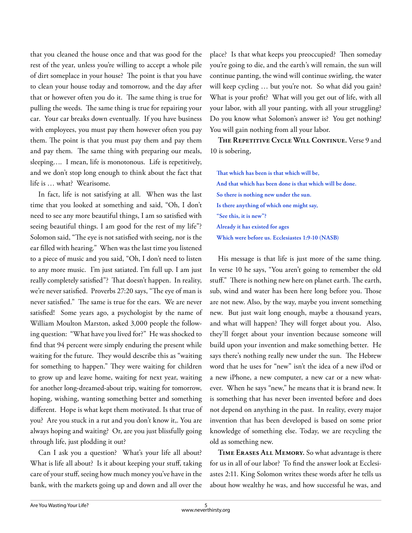that you cleaned the house once and that was good for the rest of the year, unless you're willing to accept a whole pile of dirt someplace in your house? The point is that you have to clean your house today and tomorrow, and the day after that or however often you do it. The same thing is true for pulling the weeds. The same thing is true for repairing your car. Your car breaks down eventually. If you have business with employees, you must pay them however often you pay them. The point is that you must pay them and pay them and pay them. The same thing with preparing our meals, sleeping…. I mean, life is monotonous. Life is repetitively, and we don't stop long enough to think about the fact that life is … what? Wearisome.

In fact, life is not satisfying at all. When was the last time that you looked at something and said, "Oh, I don't need to see any more beautiful things, I am so satisfied with seeing beautiful things. I am good for the rest of my life"? Solomon said, "The eye is not satisfied with seeing, nor is the ear filled with hearing." When was the last time you listened to a piece of music and you said, "Oh, I don't need to listen to any more music. I'm just satiated. I'm full up. I am just really completely satisfied"? That doesn't happen. In reality, we're never satisfied. Proverbs 27:20 says, "The eye of man is never satisfied." The same is true for the ears. We are never satisfied! Some years ago, a psychologist by the name of William Moulton Marston, asked 3,000 people the following question: "What have you lived for?" He was shocked to find that 94 percent were simply enduring the present while waiting for the future. They would describe this as "waiting" for something to happen." They were waiting for children to grow up and leave home, waiting for next year, waiting for another long-dreamed-about trip, waiting for tomorrow, hoping, wishing, wanting something better and something different. Hope is what kept them motivated. Is that true of you? Are you stuck in a rut and you don't know it,. You are always hoping and waiting? Or, are you just blissfully going through life, just plodding it out?

Can I ask you a question? What's your life all about? What is life all about? Is it about keeping your stuff, taking care of your stuff, seeing how much money you've have in the bank, with the markets going up and down and all over the place? Is that what keeps you preoccupied? Then someday you're going to die, and the earth's will remain, the sun will continue panting, the wind will continue swirling, the water will keep cycling … but you're not. So what did you gain? What is your profit? What will you get out of life, with all your labor, with all your panting, with all your struggling? Do you know what Solomon's answer is? You get nothing! You will gain nothing from all your labor.

**The Repetitive Cycle Will Continue.** Verse 9 and 10 is sobering,

That which has been is that which will be, **And that which has been done is that which will be done. So there is nothing new under the sun. Is there anything of which one might say, "See this, it is new"? Already it has existed for ages Which were before us. Ecclesiastes 1:9-10 (NASB)**

His message is that life is just more of the same thing. In verse 10 he says, "You aren't going to remember the old stuff." There is nothing new here on planet earth. The earth, sub, wind and water has been here long before you. Those are not new. Also, by the way, maybe you invent something new. But just wait long enough, maybe a thousand years, and what will happen? They will forget about you. Also, they'll forget about your invention because someone will build upon your invention and make something better. He says there's nothing really new under the sun. The Hebrew word that he uses for "new" isn't the idea of a new iPod or a new iPhone, a new computer, a new car or a new whatever. When he says "new," he means that it is brand new. It is something that has never been invented before and does not depend on anything in the past. In reality, every major invention that has been developed is based on some prior knowledge of something else. Today, we are recycling the old as something new.

**Time Erases All Memory.** So what advantage is there for us in all of our labor? To find the answer look at Ecclesiastes 2:11. King Solomon writes these words after he tells us about how wealthy he was, and how successful he was, and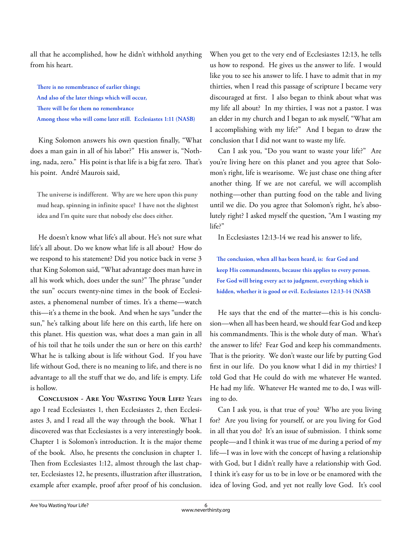all that he accomplished, how he didn't withhold anything from his heart.

There is no remembrance of earlier things; **And also of the later things which will occur,**  There will be for them no remembrance **Among those who will come later still. Ecclesiastes 1:11 (NASB)**

King Solomon answers his own question finally, "What does a man gain in all of his labor?" His answer is, "Nothing, nada, zero." His point is that life is a big fat zero. That's his point. André Maurois said,

**The universe is indifferent. Why are we here upon this puny mud heap, spinning in infinite space? I have not the slightest idea and I'm quite sure that nobody else does either.** 

He doesn't know what life's all about. He's not sure what life's all about. Do we know what life is all about? How do we respond to his statement? Did you notice back in verse 3 that King Solomon said, "What advantage does man have in all his work which, does under the sun?" The phrase "under the sun" occurs twenty-nine times in the book of Ecclesiastes, a phenomenal number of times. It's a theme—watch this—it's a theme in the book. And when he says "under the sun," he's talking about life here on this earth, life here on this planet. His question was, what does a man gain in all of his toil that he toils under the sun or here on this earth? What he is talking about is life without God. If you have life without God, there is no meaning to life, and there is no advantage to all the stuff that we do, and life is empty. Life is hollow.

**Conclusion - Are You Wasting Your Life?** Years ago I read Ecclesiastes 1, then Ecclesiastes 2, then Ecclesiastes 3, and I read all the way through the book. What I discovered was that Ecclesiastes is a very interestingly book. Chapter 1 is Solomon's introduction. It is the major theme of the book. Also, he presents the conclusion in chapter 1. Then from Ecclesiastes 1:12, almost through the last chapter, Ecclesiastes 12, he presents, illustration after illustration, example after example, proof after proof of his conclusion.

When you get to the very end of Ecclesiastes 12:13, he tells us how to respond. He gives us the answer to life. I would like you to see his answer to life. I have to admit that in my thirties, when I read this passage of scripture I became very discouraged at first. I also began to think about what was my life all about? In my thirties, I was not a pastor. I was an elder in my church and I began to ask myself, "What am I accomplishing with my life?" And I began to draw the conclusion that I did not want to waste my life.

Can I ask you, "Do you want to waste your life?" Are you're living here on this planet and you agree that Solomon's right, life is wearisome. We just chase one thing after another thing. If we are not careful, we will accomplish nothing—other than putting food on the table and living until we die. Do you agree that Solomon's right, he's absolutely right? I asked myself the question, "Am I wasting my life?"

In Ecclesiastes 12:13-14 we read his answer to life,

The conclusion, when all has been heard, is: fear God and **keep His commandments, because this applies to every person. For God will bring every act to judgment, everything which is hidden, whether it is good or evil. Ecclesiastes 12:13-14 (NASB**

He says that the end of the matter—this is his conclusion—when all has been heard, we should fear God and keep his commandments. This is the whole duty of man. What's the answer to life? Fear God and keep his commandments. That is the priority. We don't waste our life by putting God first in our life. Do you know what I did in my thirties? I told God that He could do with me whatever He wanted. He had my life. Whatever He wanted me to do, I was willing to do.

Can I ask you, is that true of you? Who are you living for? Are you living for yourself, or are you living for God in all that you do? It's an issue of submission. I think some people—and I think it was true of me during a period of my life—I was in love with the concept of having a relationship with God, but I didn't really have a relationship with God. I think it's easy for us to be in love or be enamored with the idea of loving God, and yet not really love God. It's cool